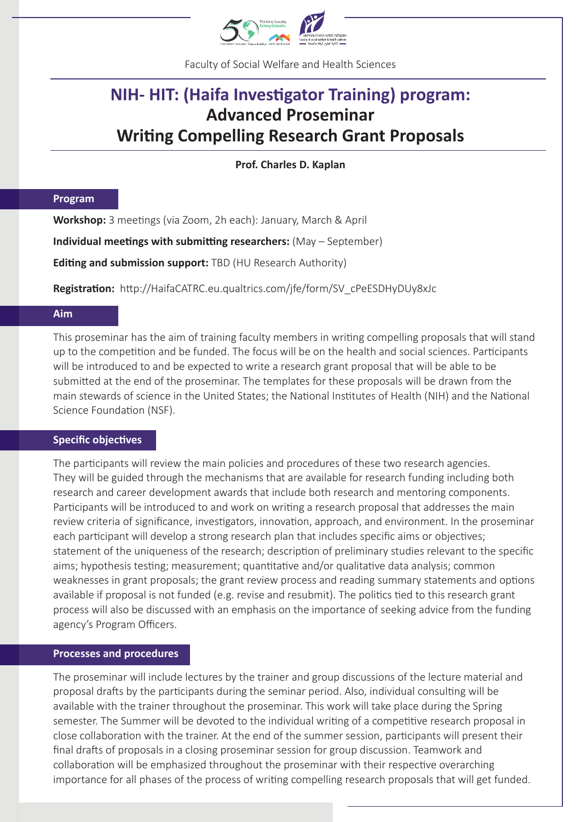

Faculty of Social Welfare and Health Sciences

## **NIH- HIT: (Haifa Inves�gator Training) program: Advanced Proseminar Writing Compelling Research Grant Proposals**

**Prof. Charles D. Kaplan**

#### **Program**

Workshop: 3 meetings (via Zoom, 2h each): January, March & April

**Individual meetings with submitting researchers:** (May – September)

**Editing and submission support:** TBD (HU Research Authority)

**Registration:** http://HaifaCATRC.eu.qualtrics.com/jfe/form/SV\_cPeESDHyDUy8xJc

#### **Aim**

This proseminar has the aim of training faculty members in writing compelling proposals that will stand up to the competition and be funded. The focus will be on the health and social sciences. Participants will be introduced to and be expected to write a research grant proposal that will be able to be submitted at the end of the proseminar. The templates for these proposals will be drawn from the main stewards of science in the United States; the National Institutes of Health (NIH) and the National Science Foundation (NSF).

#### **Specific objectives**

The participants will review the main policies and procedures of these two research agencies. They will be guided through the mechanisms that are available for research funding including both research and career development awards that include both research and mentoring components. Participants will be introduced to and work on writing a research proposal that addresses the main review criteria of significance, investigators, innovation, approach, and environment. In the proseminar each participant will develop a strong research plan that includes specific aims or objectives; statement of the uniqueness of the research; description of preliminary studies relevant to the specific aims; hypothesis testing; measurement; quantitative and/or qualitative data analysis; common weaknesses in grant proposals; the grant review process and reading summary statements and options available if proposal is not funded (e.g. revise and resubmit). The politics tied to this research grant process will also be discussed with an emphasis on the importance of seeking advice from the funding agency's Program Officers.

#### **Processes and procedures**

The proseminar will include lectures by the trainer and group discussions of the lecture material and proposal drafts by the participants during the seminar period. Also, individual consulting will be available with the trainer throughout the proseminar. This work will take place during the Spring semester. The Summer will be devoted to the individual writing of a competitive research proposal in close collaboration with the trainer. At the end of the summer session, participants will present their final drafts of proposals in a closing proseminar session for group discussion. Teamwork and collaboration will be emphasized throughout the proseminar with their respective overarching importance for all phases of the process of writing compelling research proposals that will get funded.